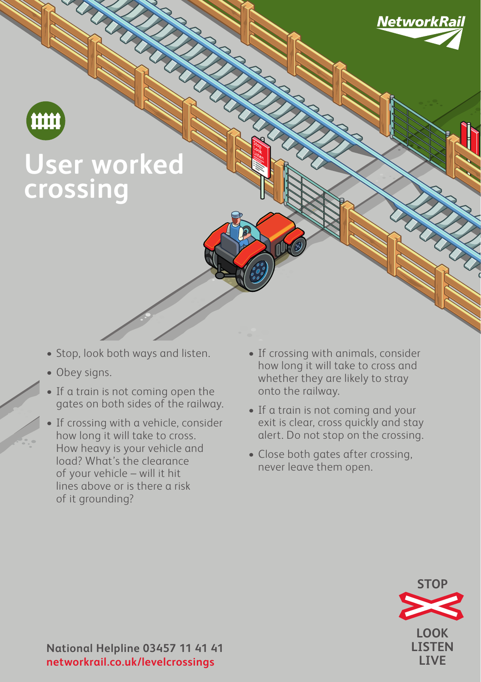



## **User worked crossing**

- Stop, look both ways and listen.
- Obey signs.
- If a train is not coming open the gates on both sides of the railway.
- If crossing with a vehicle, consider how long it will take to cross. How heavy is your vehicle and load? What's the clearance of your vehicle – will it hit lines above or is there a risk of it grounding?
- If crossing with animals, consider how long it will take to cross and whether they are likely to stray onto the railway.
- If a train is not coming and your exit is clear, cross quickly and stay alert. Do not stop on the crossing.
- Close both gates after crossing, never leave them open.